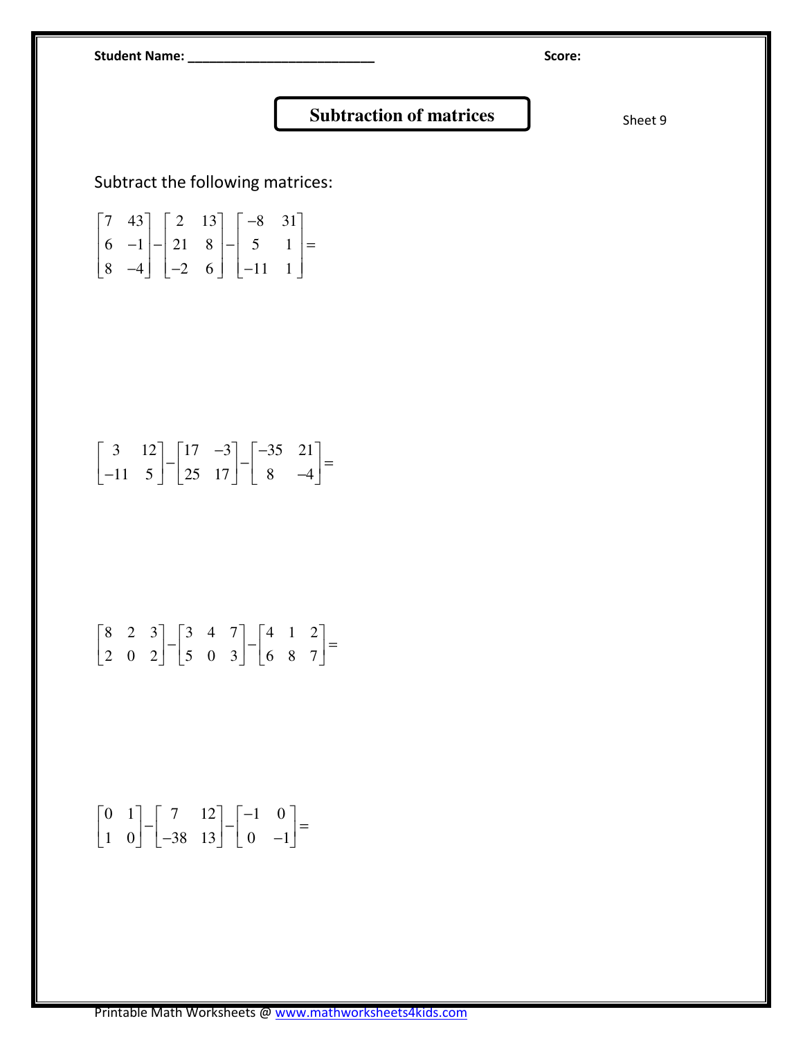| Student Name: ____                                                                                                                                                                  | Score:  |
|-------------------------------------------------------------------------------------------------------------------------------------------------------------------------------------|---------|
| <b>Subtraction of matrices</b>                                                                                                                                                      | Sheet 9 |
| Subtract the following matrices:                                                                                                                                                    |         |
| $\begin{bmatrix} 7 & 43 \\ 6 & -1 \\ 8 & -4 \end{bmatrix} - \begin{bmatrix} 2 & 13 \\ 21 & 8 \\ -2 & 6 \end{bmatrix} - \begin{bmatrix} -8 & 31 \\ 5 & 1 \\ -11 & 1 \end{bmatrix} =$ |         |
|                                                                                                                                                                                     |         |
|                                                                                                                                                                                     |         |
| $\begin{bmatrix} 3 & 12 \\ -11 & 5 \end{bmatrix} - \begin{bmatrix} 17 & -3 \\ 25 & 17 \end{bmatrix} - \begin{bmatrix} -35 & 21 \\ 8 & -4 \end{bmatrix} =$                           |         |
|                                                                                                                                                                                     |         |
| $\begin{bmatrix} 8 & 2 & 3 \\ 2 & 0 & 2 \end{bmatrix} - \begin{bmatrix} 3 & 4 & 7 \\ 5 & 0 & 3 \end{bmatrix} - \begin{bmatrix} 4 & 1 & 2 \\ 6 & 8 & 7 \end{bmatrix} =$              |         |
|                                                                                                                                                                                     |         |
|                                                                                                                                                                                     |         |
|                                                                                                                                                                                     |         |

$$
\begin{bmatrix} 0 & 1 \\ 1 & 0 \end{bmatrix} - \begin{bmatrix} 7 & 12 \\ -38 & 13 \end{bmatrix} - \begin{bmatrix} -1 & 0 \\ 0 & -1 \end{bmatrix} =
$$